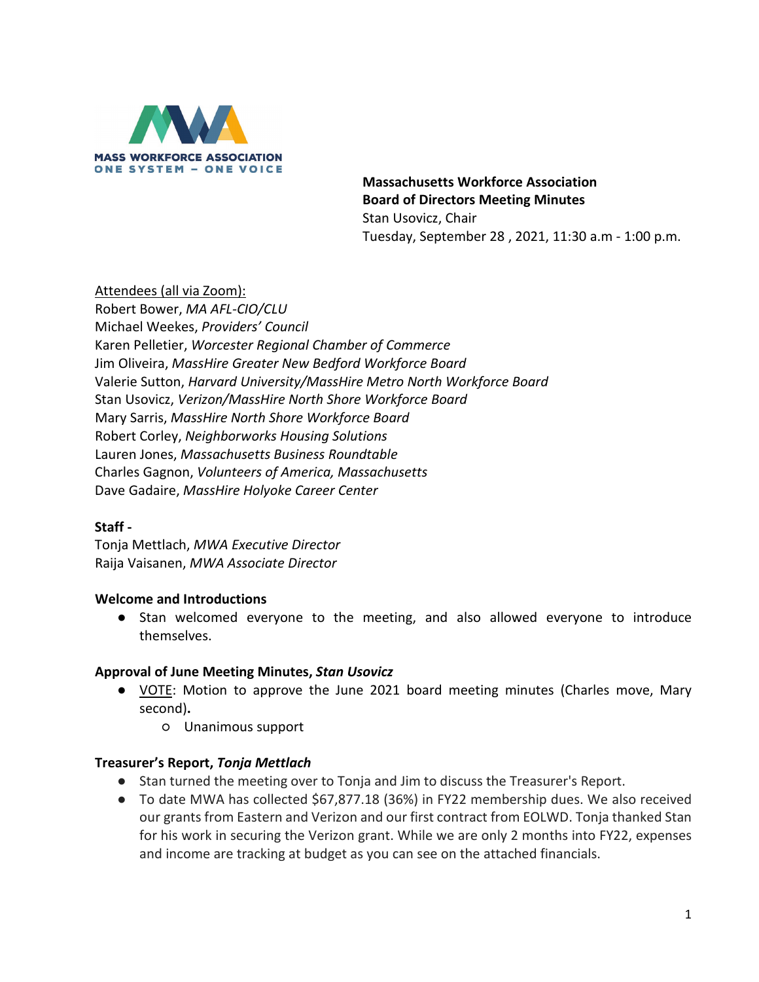

## **Massachusetts Workforce Association Board of Directors Meeting Minutes** Stan Usovicz, Chair

Tuesday, September 28 , 2021, 11:30 a.m - 1:00 p.m.

Attendees (all via Zoom):

Robert Bower, *MA AFL-CIO/CLU* Michael Weekes, *Providers' Council*  Karen Pelletier, *Worcester Regional Chamber of Commerce* Jim Oliveira, *MassHire Greater New Bedford Workforce Board* Valerie Sutton, *Harvard University/MassHire Metro North Workforce Board* Stan Usovicz, *Verizon/MassHire North Shore Workforce Board* Mary Sarris, *MassHire North Shore Workforce Board* Robert Corley, *Neighborworks Housing Solutions* Lauren Jones, *Massachusetts Business Roundtable* Charles Gagnon, *Volunteers of America, Massachusetts* Dave Gadaire, *MassHire Holyoke Career Center*

### **Staff -**

Tonja Mettlach, *MWA Executive Director* Raija Vaisanen, *MWA Associate Director*

### **Welcome and Introductions**

● Stan welcomed everyone to the meeting, and also allowed everyone to introduce themselves.

### **Approval of June Meeting Minutes,** *Stan Usovicz*

- VOTE: Motion to approve the June 2021 board meeting minutes (Charles move, Mary second)**.** 
	- Unanimous support

## **Treasurer's Report,** *Tonja Mettlach*

- Stan turned the meeting over to Tonja and Jim to discuss the Treasurer's Report.
- To date MWA has collected \$67,877.18 (36%) in FY22 membership dues. We also received our grants from Eastern and Verizon and our first contract from EOLWD. Tonja thanked Stan for his work in securing the Verizon grant. While we are only 2 months into FY22, expenses and income are tracking at budget as you can see on the attached financials.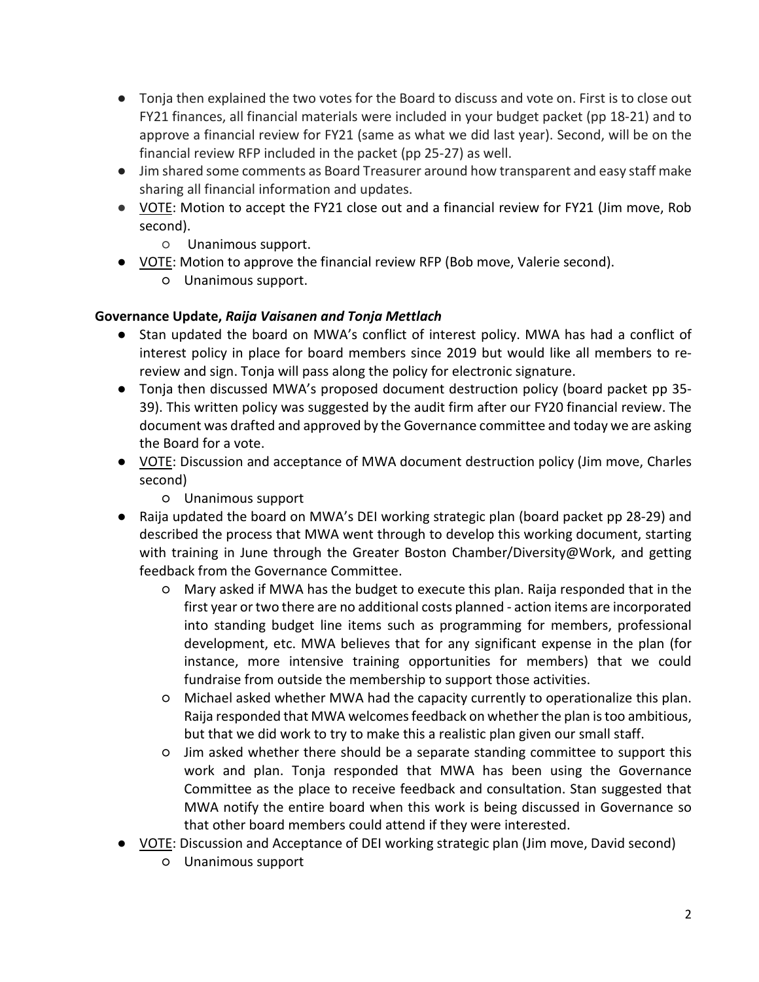- Tonja then explained the two votes for the Board to discuss and vote on. First is to close out FY21 finances, all financial materials were included in your budget packet (pp 18-21) and to approve a financial review for FY21 (same as what we did last year). Second, will be on the financial review RFP included in the packet (pp 25-27) as well.
- Jim shared some comments as Board Treasurer around how transparent and easy staff make sharing all financial information and updates.
- VOTE: Motion to accept the FY21 close out and a financial review for FY21 (Jim move, Rob second).
	- Unanimous support.
- VOTE: Motion to approve the financial review RFP (Bob move, Valerie second).
	- Unanimous support.

# **Governance Update,** *Raija Vaisanen and Tonja Mettlach*

- Stan updated the board on MWA's conflict of interest policy. MWA has had a conflict of interest policy in place for board members since 2019 but would like all members to rereview and sign. Tonja will pass along the policy for electronic signature.
- Tonja then discussed MWA's proposed document destruction policy (board packet pp 35- 39). This written policy was suggested by the audit firm after our FY20 financial review. The document was drafted and approved by the Governance committee and today we are asking the Board for a vote.
- VOTE: Discussion and acceptance of MWA document destruction policy (Jim move, Charles second)
	- Unanimous support
- Raija updated the board on MWA's DEI working strategic plan (board packet pp 28-29) and described the process that MWA went through to develop this working document, starting with training in June through the Greater Boston Chamber/Diversity@Work, and getting feedback from the Governance Committee.
	- Mary asked if MWA has the budget to execute this plan. Raija responded that in the first year or two there are no additional costs planned - action items are incorporated into standing budget line items such as programming for members, professional development, etc. MWA believes that for any significant expense in the plan (for instance, more intensive training opportunities for members) that we could fundraise from outside the membership to support those activities.
	- Michael asked whether MWA had the capacity currently to operationalize this plan. Raija responded that MWA welcomes feedback on whether the plan is too ambitious, but that we did work to try to make this a realistic plan given our small staff.
	- Jim asked whether there should be a separate standing committee to support this work and plan. Tonja responded that MWA has been using the Governance Committee as the place to receive feedback and consultation. Stan suggested that MWA notify the entire board when this work is being discussed in Governance so that other board members could attend if they were interested.
- **DICITE:** Discussion and Acceptance of DEI working strategic plan (Jim move, David second)
	- Unanimous support